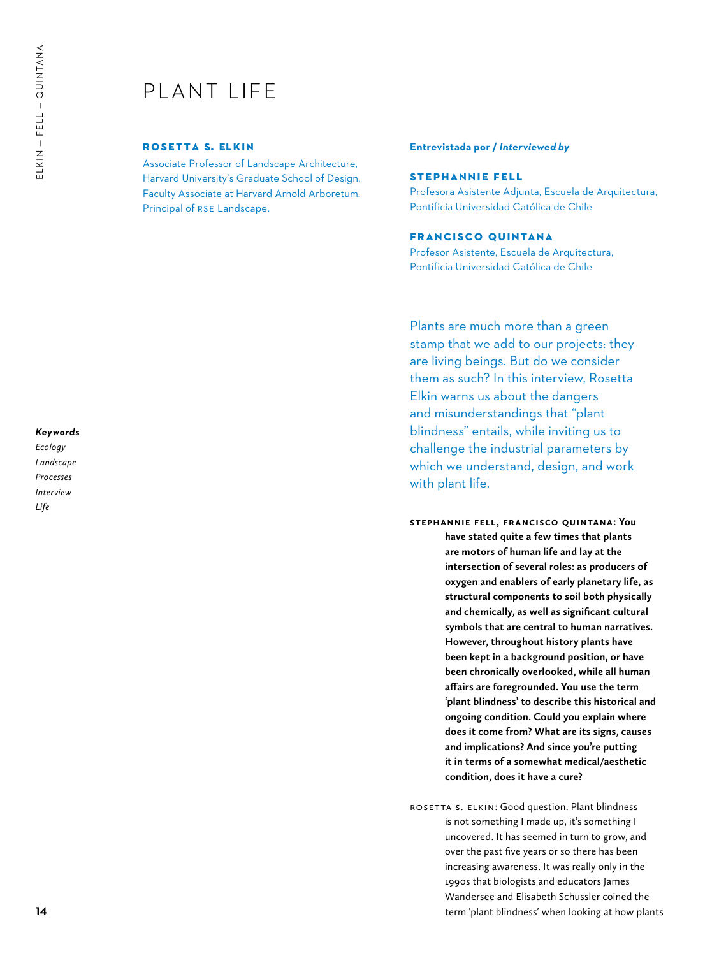# PI ANT I IFF

## **rosetta s. elkin**

Associate Professor of Landscape Architecture, Harvard University's Graduate School of Design. Faculty Associate at Harvard Arnold Arboretum. Principal of RSE Landscape.

### **Entrevistada por /** *Interviewed by*

## **Stephannie Fell**

Profesora Asistente Adjunta, Escuela de Arquitectura, Pontificia Universidad Católica de Chile

# **Francisco Quintana**

Profesor Asistente, Escuela de Arquitectura, Pontificia Universidad Católica de Chile

Plants are much more than a green stamp that we add to our projects: they are living beings. But do we consider them as such? In this interview, Rosetta Elkin warns us about the dangers and misunderstandings that "plant blindness" entails, while inviting us to challenge the industrial parameters by which we understand, design, and work with plant life.

- **Stephannie Fell, Francisco Quintana: You have stated quite a few times that plants are motors of human life and lay at the intersection of several roles: as producers of oxygen and enablers of early planetary life, as structural components to soil both physically and chemically, as well as significant cultural symbols that are central to human narratives. However, throughout history plants have been kept in a background position, or have been chronically overlooked, while all human affairs are foregrounded. You use the term 'plant blindness' to describe this historical and ongoing condition. Could you explain where does it come from? What are its signs, causes and implications? And since you're putting it in terms of a somewhat medical/aesthetic condition, does it have a cure?**
- ROSETTA S. ELKIN: Good question. Plant blindness is not something I made up, it's something I uncovered. It has seemed in turn to grow, and over the past five years or so there has been increasing awareness. It was really only in the 1990s that biologists and educators James Wandersee and Elisabeth Schussler coined the term 'plant blindness' when looking at how plants

#### *Keywords*

*Ecology Landscape Processes Interview Life*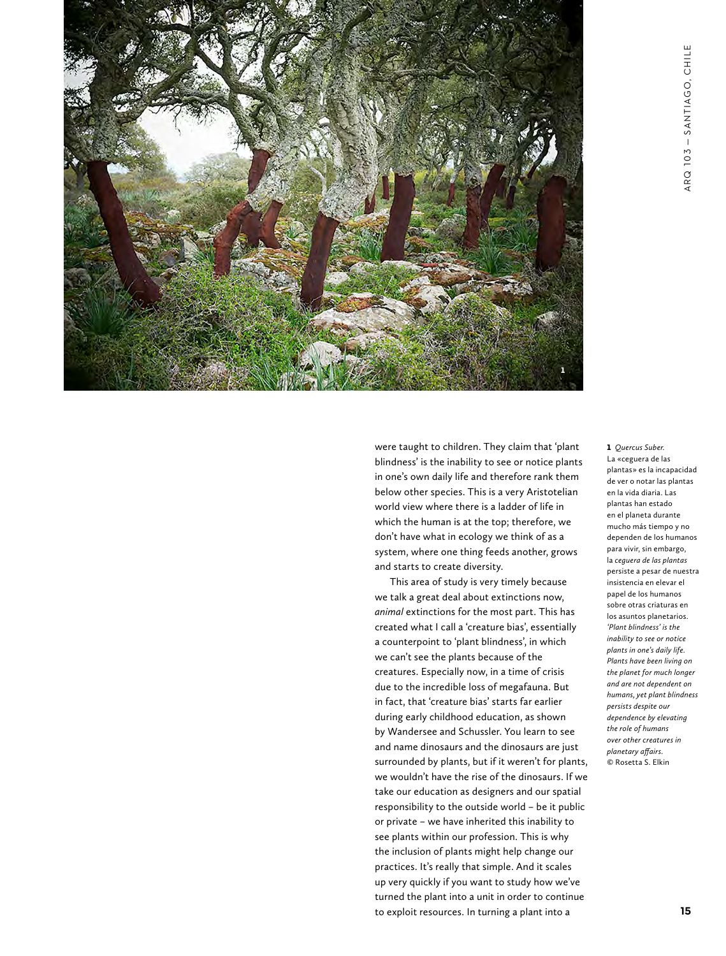

were taught to children. They claim that 'plant blindness' is the inability to see or notice plants in one's own daily life and therefore rank them below other species. This is a very Aristotelian world view where there is a ladder of life in which the human is at the top; therefore, we don't have what in ecology we think of as a system, where one thing feeds another, grows and starts to create diversity.

This area of study is very timely because we talk a great deal about extinctions now, *animal* extinctions for the most part. This has created what I call a 'creature bias', essentially a counterpoint to 'plant blindness', in which we can't see the plants because of the creatures. Especially now, in a time of crisis due to the incredible loss of megafauna. But in fact, that 'creature bias' starts far earlier during early childhood education, as shown by Wandersee and Schussler. You learn to see and name dinosaurs and the dinosaurs are just surrounded by plants, but if it weren't for plants, we wouldn't have the rise of the dinosaurs. If we take our education as designers and our spatial responsibility to the outside world – be it public or private – we have inherited this inability to see plants within our profession. This is why the inclusion of plants might help change our practices. It's really that simple. And it scales up very quickly if you want to study how we've turned the plant into a unit in order to continue to exploit resources. In turning a plant into a

1 *Quercus Suber.* La «ceguera de las plantas» es la incapacidad de ver o notar las plantas en la vida diaria. Las plantas han estado en el planeta durante mucho más tiempo y no dependen de los humanos para vivir, sin embargo, la *ceguera de las plantas* persiste a pesar de nuestra insistencia en elevar el papel de los humanos sobre otras criaturas en los asuntos planetarios. *'Plant blindness' is the inability to see or notice plants in one's daily life. Plants have been living on the planet for much longer and are not dependent on humans, yet plant blindness persists despite our dependence by elevating the role of humans over other creatures in planetary affairs.* © Rosetta S. Elkin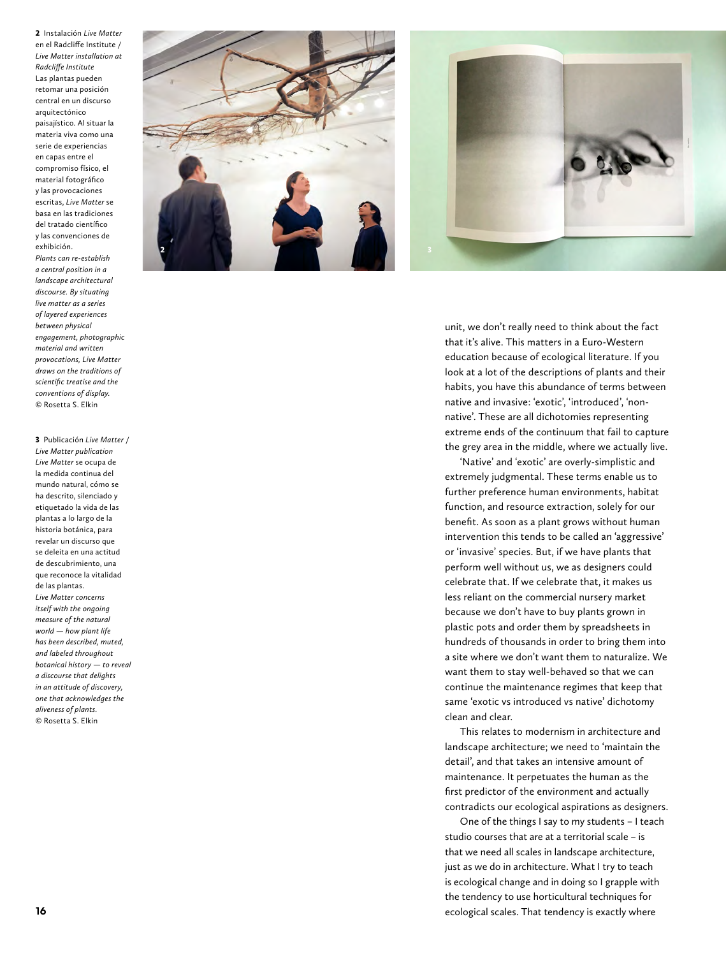2 Instalación *Live Matter* en el Radcliffe Institute / *Live Matter installation at Radcliffe Institute* Las plantas pueden retomar una posición central en un discurso arquitectónico paisajístico. Al situar la materia viva como una serie de experiencias en capas entre el compromiso físico, el material fotográfico y las provocaciones escritas, *Live Matter* se basa en las tradiciones del tratado científico y las convenciones de exhibición.

*Plants can re-establish a central position in a landscape architectural discourse. By situating live matter as a series of layered experiences between physical engagement, photographic material and written provocations, Live Matter draws on the traditions of scientific treatise and the conventions of display.* © Rosetta S. Elkin

3 Publicación *Live Matter* / *Live Matter publication Live Matter* se ocupa de la medida continua del mundo natural, cómo se ha descrito, silenciado y etiquetado la vida de las plantas a lo largo de la historia botánica, para revelar un discurso que se deleita en una actitud de descubrimiento, una que reconoce la vitalidad de las plantas. *Live Matter concerns itself with the ongoing measure of the natural world — how plant life has been described, muted, and labeled throughout botanical history — to reveal a discourse that delights in an attitude of discovery, one that acknowledges the aliveness of plants.* © Rosetta S. Elkin



unit, we don't really need to think about the fact that it's alive. This matters in a Euro-Western education because of ecological literature. If you look at a lot of the descriptions of plants and their habits, you have this abundance of terms between native and invasive: 'exotic', 'introduced', 'nonnative'. These are all dichotomies representing extreme ends of the continuum that fail to capture the grey area in the middle, where we actually live.

'Native' and 'exotic' are overly-simplistic and extremely judgmental. These terms enable us to further preference human environments, habitat function, and resource extraction, solely for our benefit. As soon as a plant grows without human intervention this tends to be called an 'aggressive' or 'invasive' species. But, if we have plants that perform well without us, we as designers could celebrate that. If we celebrate that, it makes us less reliant on the commercial nursery market because we don't have to buy plants grown in plastic pots and order them by spreadsheets in hundreds of thousands in order to bring them into a site where we don't want them to naturalize. We want them to stay well-behaved so that we can continue the maintenance regimes that keep that same 'exotic vs introduced vs native' dichotomy clean and clear.

This relates to modernism in architecture and landscape architecture; we need to 'maintain the detail', and that takes an intensive amount of maintenance. It perpetuates the human as the first predictor of the environment and actually contradicts our ecological aspirations as designers.

One of the things I say to my students – I teach studio courses that are at a territorial scale – is that we need all scales in landscape architecture, just as we do in architecture. What I try to teach is ecological change and in doing so I grapple with the tendency to use horticultural techniques for ecological scales. That tendency is exactly where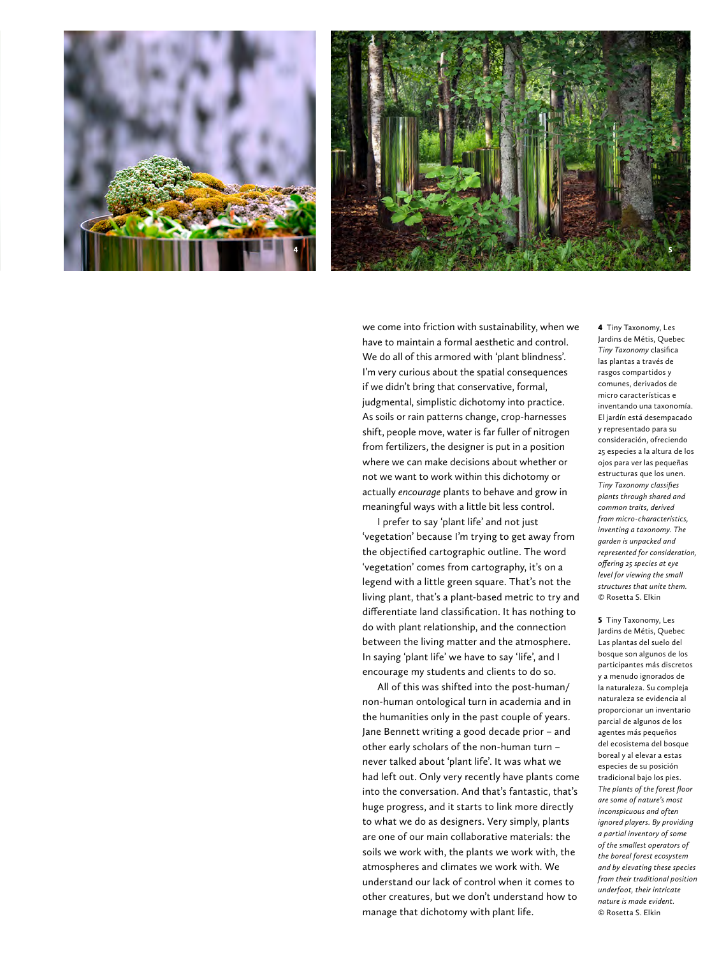



we come into friction with sustainability, when we have to maintain a formal aesthetic and control. We do all of this armored with 'plant blindness'. I'm very curious about the spatial consequences if we didn't bring that conservative, formal, judgmental, simplistic dichotomy into practice. As soils or rain patterns change, crop-harnesses shift, people move, water is far fuller of nitrogen from fertilizers, the designer is put in a position where we can make decisions about whether or not we want to work within this dichotomy or actually *encourage* plants to behave and grow in meaningful ways with a little bit less control.

I prefer to say 'plant life' and not just 'vegetation' because I'm trying to get away from the objectified cartographic outline. The word 'vegetation' comes from cartography, it's on a legend with a little green square. That's not the living plant, that's a plant-based metric to try and differentiate land classification. It has nothing to do with plant relationship, and the connection between the living matter and the atmosphere. In saying 'plant life' we have to say 'life', and I encourage my students and clients to do so.

All of this was shifted into the post-human/ non-human ontological turn in academia and in the humanities only in the past couple of years. Jane Bennett writing a good decade prior – and other early scholars of the non-human turn – never talked about 'plant life'. It was what we had left out. Only very recently have plants come into the conversation. And that's fantastic, that's huge progress, and it starts to link more directly to what we do as designers. Very simply, plants are one of our main collaborative materials: the soils we work with, the plants we work with, the atmospheres and climates we work with. We understand our lack of control when it comes to other creatures, but we don't understand how to manage that dichotomy with plant life.

4 Tiny Taxonomy, Les Jardins de Métis, Quebec *Tiny Taxonomy* clasifica las plantas a través de rasgos compartidos y comunes, derivados de micro características e inventando una taxonomía. El jardín está desempacado y representado para su consideración, ofreciendo 25 especies a la altura de los ojos para ver las pequeñas estructuras que los unen. *Tiny Taxonomy classifies plants through shared and common traits, derived from micro-characteristics, inventing a taxonomy. The garden is unpacked and represented for consideration, offering 25 species at eye level for viewing the small structures that unite them.* © Rosetta S. Elkin

**5** Tiny Taxonomy, Les Jardins de Métis, Quebec Las plantas del suelo del bosque son algunos de los participantes más discretos y a menudo ignorados de la naturaleza. Su compleja naturaleza se evidencia al proporcionar un inventario parcial de algunos de los agentes más pequeños del ecosistema del bosque boreal y al elevar a estas especies de su posición tradicional bajo los pies. *The plants of the forest floor are some of nature's most inconspicuous and often ignored players. By providing a partial inventory of some of the smallest operators of the boreal forest ecosystem and by elevating these species from their traditional position underfoot, their intricate nature is made evident.* © Rosetta S. Elkin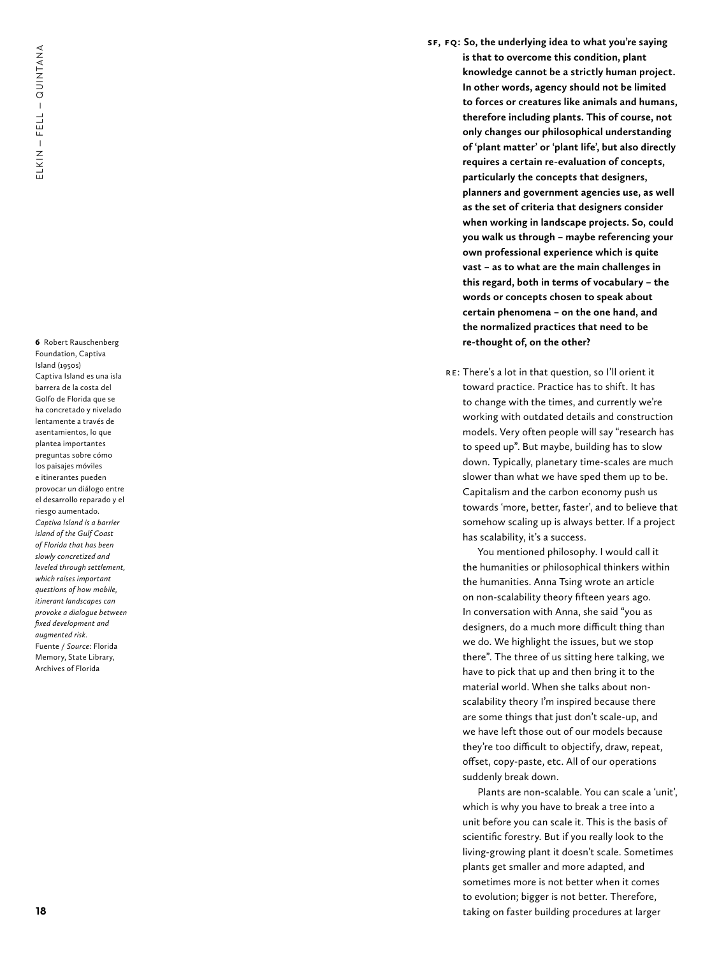**18**ELKIN — THULL — THULL — THULL — THULL — THULL — THULL — THULL — THULL — THULL — THULL — THULL — THULL — THULL — THULL — THULL — THULL — THULL — THULL — THULL — THULL — THULL — THULL — THULL — THULL — THULL — THULL — TH 6 Robert Rauschenberg Foundation, Captiva Island (1950s) Captiva Island es una isla barrera de la costa del Golfo de Florida que se ha concretado y nivelado lentamente a través de asentamientos, lo que plantea importantes preguntas sobre cómo los paisajes móviles e itinerantes pueden provocar un diálogo entre el desarrollo reparado y el riesgo aumentado. *Captiva Island is a barrier island of the Gulf Coast of Florida that has been slowly concretized and leveled through settlement, which raises important questions of how mobile, itinerant landscapes can provoke a dialogue between fixed development and augmented risk.* Fuente / *Source*: Florida Memory, State Library, Archives of Florida

- **SF, FQ : So, the underlying idea to what you're saying is that to overcome this condition, plant knowledge cannot be a strictly human project. In other words, agency should not be limited to forces or creatures like animals and humans, therefore including plants. This of course, not only changes our philosophical understanding of 'plant matter' or 'plant life', but also directly requires a certain re-evaluation of concepts, particularly the concepts that designers, planners and government agencies use, as well as the set of criteria that designers consider when working in landscape projects. So, could you walk us through – maybe referencing your own professional experience which is quite vast – as to what are the main challenges in this regard, both in terms of vocabulary – the words or concepts chosen to speak about certain phenomena – on the one hand, and the normalized practices that need to be re-thought of, on the other?**
	- : There's a lot in that question, so I'll orient it toward practice. Practice has to shift. It has to change with the times, and currently we're working with outdated details and construction models. Very often people will say "research has to speed up". But maybe, building has to slow down. Typically, planetary time-scales are much slower than what we have sped them up to be. Capitalism and the carbon economy push us towards 'more, better, faster', and to believe that somehow scaling up is always better. If a project has scalability, it's a success.

You mentioned philosophy. I would call it the humanities or philosophical thinkers within the humanities. Anna Tsing wrote an article on non-scalability theory fifteen years ago. In conversation with Anna, she said "you as designers, do a much more difficult thing than we do. We highlight the issues, but we stop there". The three of us sitting here talking, we have to pick that up and then bring it to the material world. When she talks about nonscalability theory I'm inspired because there are some things that just don't scale-up, and we have left those out of our models because they're too difficult to objectify, draw, repeat, offset, copy-paste, etc. All of our operations suddenly break down.

Plants are non-scalable. You can scale a 'unit', which is why you have to break a tree into a unit before you can scale it. This is the basis of scientific forestry. But if you really look to the living-growing plant it doesn't scale. Sometimes plants get smaller and more adapted, and sometimes more is not better when it comes to evolution; bigger is not better. Therefore, taking on faster building procedures at larger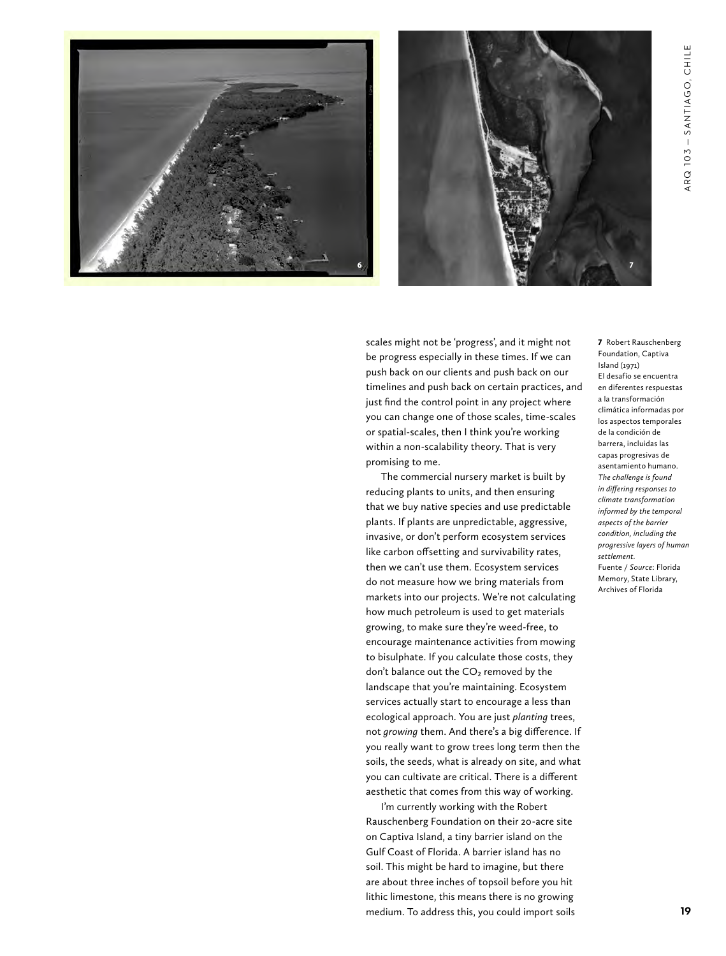



scales might not be 'progress', and it might not be progress especially in these times. If we can push back on our clients and push back on our timelines and push back on certain practices, and just find the control point in any project where you can change one of those scales, time-scales or spatial-scales, then I think you're working within a non-scalability theory. That is very promising to me.

The commercial nursery market is built by reducing plants to units, and then ensuring that we buy native species and use predictable plants. If plants are unpredictable, aggressive, invasive, or don't perform ecosystem services like carbon offsetting and survivability rates, then we can't use them. Ecosystem services do not measure how we bring materials from markets into our projects. We're not calculating how much petroleum is used to get materials growing, to make sure they're weed-free, to encourage maintenance activities from mowing to bisulphate. If you calculate those costs, they don't balance out the  $CO<sub>2</sub>$  removed by the landscape that you're maintaining. Ecosystem services actually start to encourage a less than ecological approach. You are just *planting* trees, not *growing* them. And there's a big difference. If you really want to grow trees long term then the soils, the seeds, what is already on site, and what you can cultivate are critical. There is a different aesthetic that comes from this way of working.

I'm currently working with the Robert Rauschenberg Foundation on their 20-acre site on Captiva Island, a tiny barrier island on the Gulf Coast of Florida. A barrier island has no soil. This might be hard to imagine, but there are about three inches of topsoil before you hit lithic limestone, this means there is no growing medium. To address this, you could import soils 7 Robert Rauschenberg Foundation, Captiva Island (1971) El desafío se encuentra en diferentes respuestas a la transformación climática informadas por los aspectos temporales de la condición de barrera, incluidas las capas progresivas de asentamiento humano. *The challenge is found in differing responses to climate transformation informed by the temporal aspects of the barrier condition, including the progressive layers of human settlement.* Fuente / *Source*: Florida Memory, State Library, Archives of Florida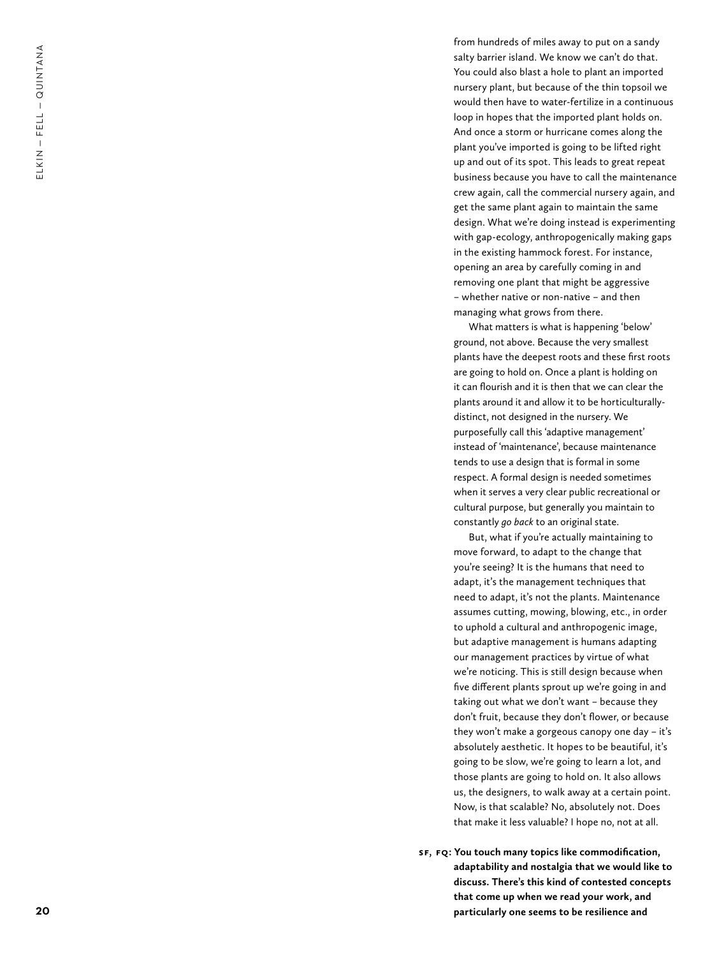$ELKIN - FELL - QUINTANA$ **20**<br>**20** 

from hundreds of miles away to put on a sandy salty barrier island. We know we can't do that. You could also blast a hole to plant an imported nursery plant, but because of the thin topsoil we would then have to water-fertilize in a continuous loop in hopes that the imported plant holds on. And once a storm or hurricane comes along the plant you've imported is going to be lifted right up and out of its spot. This leads to great repeat business because you have to call the maintenance crew again, call the commercial nursery again, and get the same plant again to maintain the same design. What we're doing instead is experimenting with gap-ecology, anthropogenically making gaps in the existing hammock forest. For instance, opening an area by carefully coming in and removing one plant that might be aggressive – whether native or non-native – and then managing what grows from there .

What matters is what is happening 'below' ground, not above. Because the very smallest plants have the deepest roots and these first roots are going to hold on. Once a plant is holding on it can flourish and it is then that we can clear the plants around it and allow it to be horticulturallydistinct, not designed in the nursery. We purposefully call this 'adaptive management' instead of 'maintenance', because maintenance tends to use a design that is formal in some respect. A formal design is needed sometimes when it serves a very clear public recreational or cultural purpose, but generally you maintain to constantly *go back* to an original state.

But, what if you're actually maintaining to move forward, to adapt to the change that you're seeing? It is the humans that need to adapt, it's the management techniques that need to adapt, it's not the plants. Maintenance assumes cutting, mowing, blowing, etc., in order to uphold a cultural and anthropogenic image, but adaptive management is humans adapting our management practices by virtue of what we're noticing. This is still design because when five different plants sprout up we're going in and taking out what we don't want – because they don't fruit, because they don't flower, or because they won't make a gorgeous canopy one day – it's absolutely aesthetic. It hopes to be beautiful, it's going to be slow, we're going to learn a lot, and those plants are going to hold on. It also allows us, the designers, to walk away at a certain point. Now, is that scalable? No, absolutely not. Does that make it less valuable? I hope no, not at all.

**SF , FQ: You touch many topics like commodification, adaptability and nostalgia that we would like to discuss. There's this kind of contested concepts that come up when we read your work, and particularly one seems to be resilience and**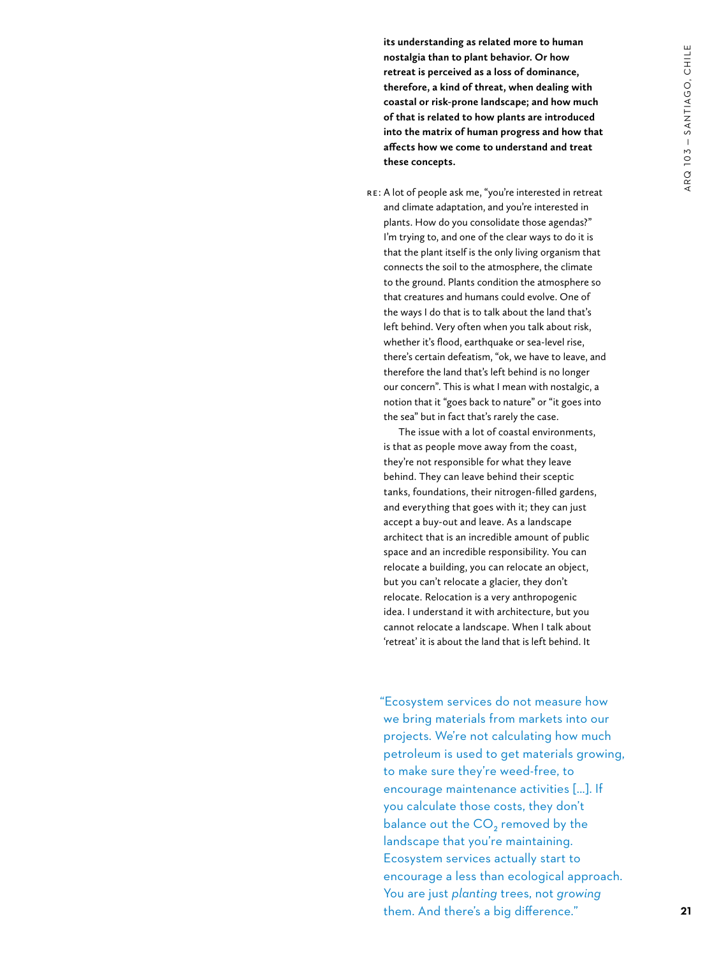**its understanding as related more to human nostalgia than to plant behavior. Or how retreat is perceived as a loss of dominance, therefore, a kind of threat, when dealing with coastal or risk-prone landscape; and how much of that is related to how plants are introduced into the matrix of human progress and how that affects how we come to understand and treat these concepts.**

 RE: A lot of people ask me, "you're interested in retreat and climate adaptation, and you're interested in plants. How do you consolidate those agendas?" I'm trying to, and one of the clear ways to do it is that the plant itself is the only living organism that connects the soil to the atmosphere, the climate to the ground. Plants condition the atmosphere so that creatures and humans could evolve. One of the ways I do that is to talk about the land that's left behind. Very often when you talk about risk, whether it's flood, earthquake or sea-level rise, there's certain defeatism, "ok, we have to leave, and therefore the land that's left behind is no longer our concern". This is what I mean with nostalgic, a notion that it "goes back to nature" or "it goes into the sea" but in fact that's rarely the case.

The issue with a lot of coastal environments, is that as people move away from the coast, they're not responsible for what they leave behind. They can leave behind their sceptic tanks, foundations, their nitrogen-filled gardens, and everything that goes with it; they can just accept a buy-out and leave. As a landscape architect that is an incredible amount of public space and an incredible responsibility. You can relocate a building, you can relocate an object, but you can't relocate a glacier, they don't relocate. Relocation is a very anthropogenic idea. I understand it with architecture, but you cannot relocate a landscape. When I talk about 'retreat' it is about the land that is left behind. It

"Ecosystem services do not measure how we bring materials from markets into our projects. We're not calculating how much petroleum is used to get materials growing, to make sure they're weed-free, to encourage maintenance activities [...]. If you calculate those costs, they don't balance out the CO<sub>2</sub> removed by the landscape that you're maintaining. Ecosystem services actually start to encourage a less than ecological approach. You are just *planting* trees, not *growing* them. And there's a big difference."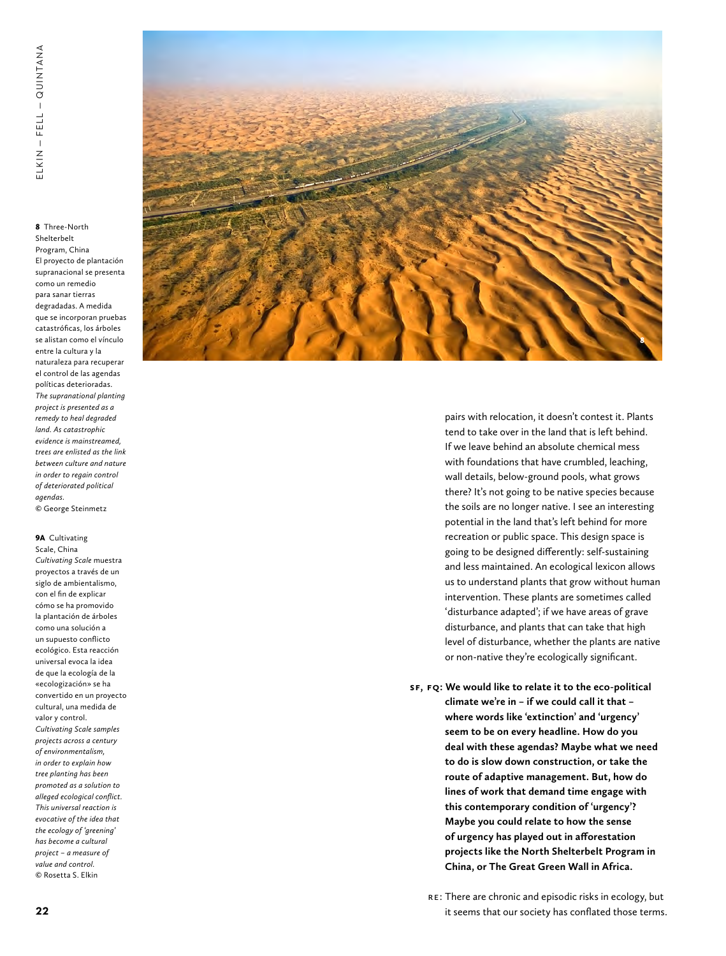<sup>8</sup> Three-North Shelterbelt Program, China El proyecto de plantación supranacional se presenta como un remedio para sanar tierras degradadas. A medida que se incorporan pruebas catastróficas, los árboles se alistan como el vínculo entre la cultura y la naturaleza para recuperar el control de las agendas políticas deterioradas. *The supranational planting project is presented as a remedy to heal degraded land. As catastrophic evidence is mainstreamed, trees are enlisted as the link between culture and nature in order to regain control of deteriorated political agendas.* © George Steinmetz

#### 9A Cultivating

**22**ELKIN — FELL — QUINTANA Scale, China *Cultivating Scale* muestra proyectos a través de un siglo de ambientalismo, con el fin de explicar cómo se ha promovido la plantación de árboles como una solución a un supuesto conflicto ecológico. Esta reacción universal evoca la idea de que la ecología de la «ecologización» se ha convertido en un proyecto cultural, una medida de valor y control. *Cultivating Scale samples projects across a century of environmentalism, in order to explain how tree planting has been promoted as a solution to alleged ecological conflict. This universal reaction is evocative of the idea that the ecology of 'greening' has become a cultural project – a measure of value and control.* © Rosetta S. Elkin



pairs with relocation, it doesn't contest it. Plants tend to take over in the land that is left behind. If we leave behind an absolute chemical mess with foundations that have crumbled, leaching, wall details, below-ground pools, what grows there? It's not going to be native species because the soils are no longer native. I see an interesting potential in the land that's left behind for more recreation or public space. This design space is going to be designed differently: self-sustaining and less maintained. An ecological lexicon allows us to understand plants that grow without human intervention. These plants are sometimes called 'disturbance adapted'; if we have areas of grave disturbance, and plants that can take that high level of disturbance, whether the plants are native or non-native they're ecologically significant.

**SF , FQ: We would like to relate it to the eco-political climate we're in – if we could call it that – where words like 'extinction' and 'urgency' seem to be on every headline. How do you deal with these agendas? Maybe what we need to do is slow down construction, or take the route of adaptive management. But, how do lines of work that demand time engage with this contemporary condition of 'urgency'? Maybe you could relate to how the sense of urgency has played out in afforestation projects like the North Shelterbelt Program in China, or The Great Green Wall in Africa.**

: There are chronic and episodic risks in ecology, but it seems that our society has conflated those terms.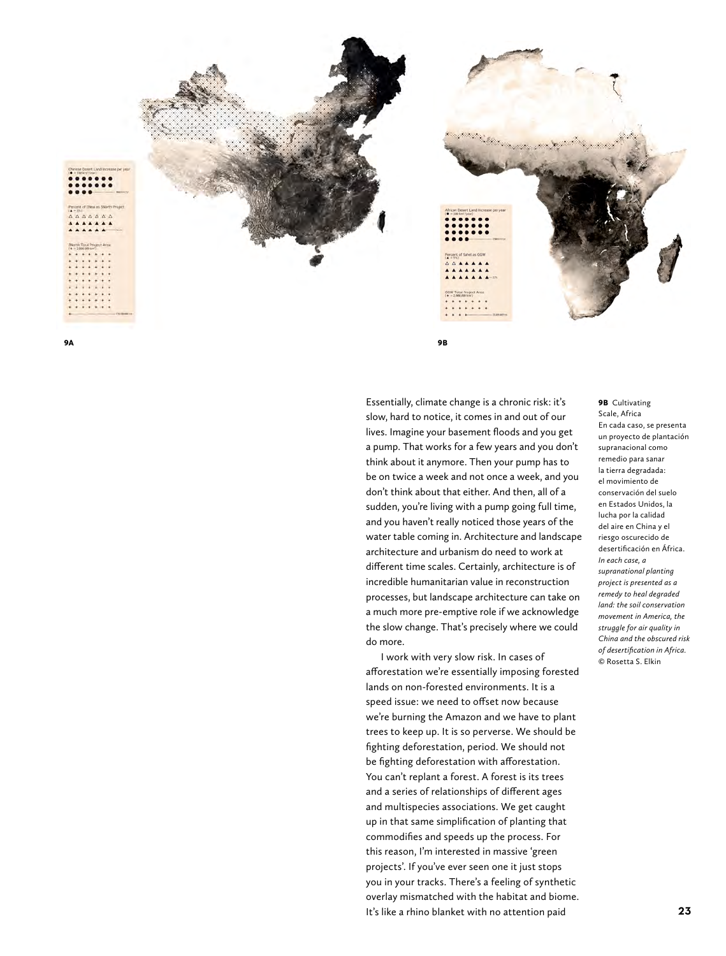

9A 9B

# Essentially, climate change is a chronic risk: it's slow, hard to notice, it comes in and out of our lives. Imagine your basement floods and you get a pump. That works for a few years and you don't think about it anymore. Then your pump has to be on twice a week and not once a week, and you don't think about that either. And then, all of a sudden, you're living with a pump going full time, and you haven't really noticed those years of the water table coming in. Architecture and landscape architecture and urbanism do need to work at different time scales. Certainly, architecture is of incredible humanitarian value in reconstruction processes, but landscape architecture can take on a much more pre-emptive role if we acknowledge the slow change. That's precisely where we could do more.

I work with very slow risk. In cases of afforestation we're essentially imposing forested lands on non-forested environments. It is a speed issue: we need to offset now because we're burning the Amazon and we have to plant trees to keep up. It is so perverse. We should be fighting deforestation, period. We should not be fighting deforestation with afforestation. You can't replant a forest. A forest is its trees and a series of relationships of different ages and multispecies associations. We get caught up in that same simplification of planting that commodifies and speeds up the process. For this reason, I'm interested in massive 'green projects'. If you've ever seen one it just stops you in your tracks. There's a feeling of synthetic overlay mismatched with the habitat and biome. It's like a rhino blanket with no attention paid

#### **9B** Cultivating Scale, Africa En cada caso, se presenta un proyecto de plantación supranacional como remedio para sanar la tierra degradada: el movimiento de conservación del suelo en Estados Unidos, la lucha por la calidad del aire en China y el riesgo oscurecido de desertificación en África. *In each case, a supranational planting project is presented as a remedy to heal degraded land: the soil conservation movement in America, the struggle for air quality in China and the obscured risk of desertification in Africa.* © Rosetta S. Elkin

A A A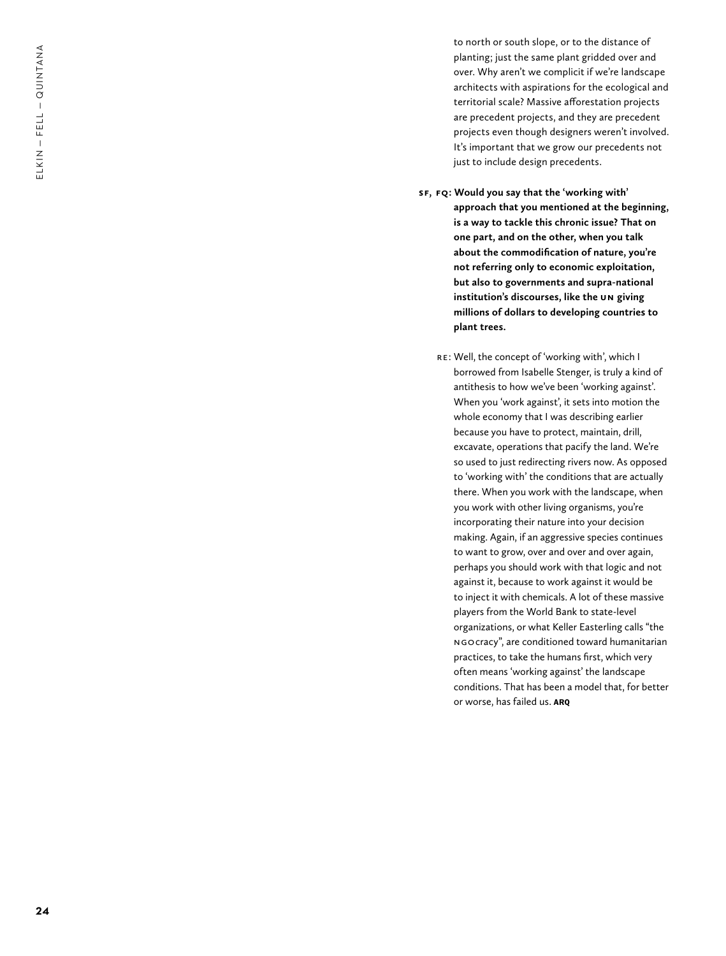to north or south slope, or to the distance of planting; just the same plant gridded over and over. Why aren't we complicit if we're landscape architects with aspirations for the ecological and territorial scale? Massive afforestation projects are precedent projects, and they are precedent projects even though designers weren't involved. It's important that we grow our precedents not just to include design precedents.

- **SF , FQ: Would you say that the 'working with' approach that you mentioned at the beginning, is a way to tackle this chronic issue? That on one part, and on the other, when you talk about the commodification of nature, you're not referring only to economic exploitation, but also to governments and supra-national institution's discourses, like the UN giving millions of dollars to developing countries to plant trees.** 
	- : Well, the concept of 'working with', which I borrowed from Isabelle Stenger, is truly a kind of antithesis to how we've been 'working against'. When you 'work against', it sets into motion the whole economy that I was describing earlier because you have to protect, maintain, drill, excavate, operations that pacify the land. We're so used to just redirecting rivers now. As opposed to 'working with' the conditions that are actually there. When you work with the landscape, when you work with other living organisms, you're incorporating their nature into your decision making. Again, if an aggressive species continues to want to grow, over and over and over again, perhaps you should work with that logic and not against it, because to work against it would be to inject it with chemicals. A lot of these massive players from the World Bank to state-level organizations, or what Keller Easterling calls "the NGOcracy", are conditioned toward humanitarian practices, to take the humans first, which very often means 'working against' the landscape conditions. That has been a model that, for better or worse, has failed us. ARQ